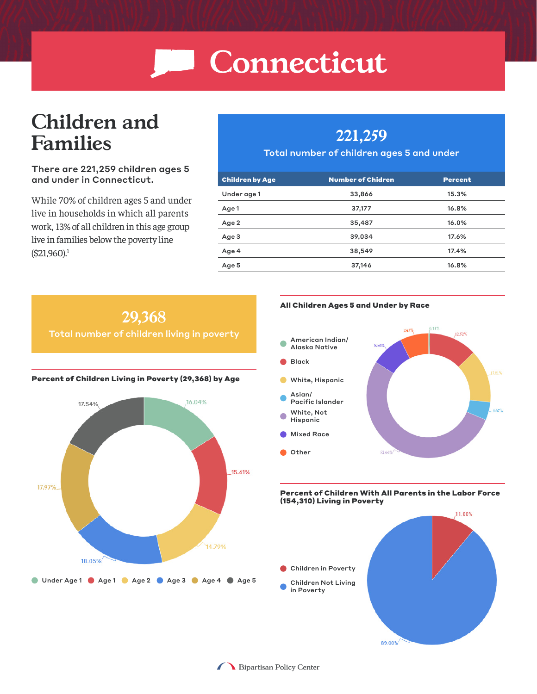# **Children and Families**

#### There are 221,259 children ages 5 and under in Connecticut.

While 70% of children ages 5 and under live in households in which all parents work, 13% of all children in this age group live in families below the poverty line  $(S21,960).$ <sup>1</sup>

### **221,259**

#### Total number of children ages 5 and under

| <b>Children by Age</b> | <b>Number of Chidren</b> | <b>Percent</b> |
|------------------------|--------------------------|----------------|
| Under age 1            | 33,866                   | 15.3%          |
| Age 1                  | 37,177                   | 16.8%          |
| Age 2                  | 35,487                   | 16.0%          |
| Age 3                  | 39,034                   | 17.6%          |
| Age 4                  | 38,549                   | 17.4%          |
| Age 5                  | 37,146                   | 16.8%          |



#### All Children Ages 5 and Under by Race



#### Percent of Children With All Parents in the Labor Force (154,310) Living in Poverty



●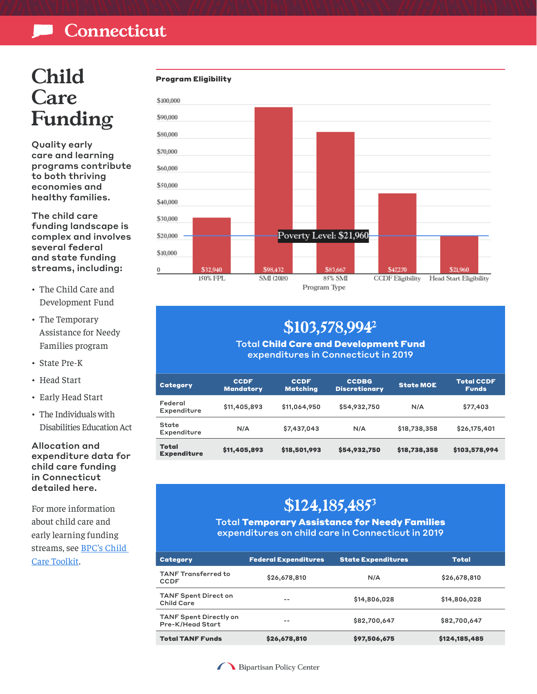## **Child Care Funding**

Quality early care and learning programs contribute to both thriving economies and healthy families.

The child care funding landscape is complex and involves several federal and state funding streams, including:

- The Child Care and Development Fund
- The Temporary Assistance for Needy Families program
- State Pre-K
- Head Start
- Early Head Start
- The Individuals with Disabilities Education Act

Allocation and expenditure data for child care funding in Connecticut detailed here.

For more information about child care and early learning funding streams, see [BPC's Child](https://bipartisanpolicy.org/building-bipartisan-support-for-child-care-a-toolkit/)  [Care Toolkit.](https://bipartisanpolicy.org/building-bipartisan-support-for-child-care-a-toolkit/)





### **\$103,578,9942**

Total Child Care and Development Fund expenditures in Connecticut in 2019

| <b>Category</b>                    | <b>CCDF</b><br><b>Mandatory</b> | <b>CCDF</b><br><b>Matching</b> | <b>CCDBG</b><br><b>Discretionary</b> | <b>State MOE</b> | <b>Total CCDF</b><br><b>Funds</b> |
|------------------------------------|---------------------------------|--------------------------------|--------------------------------------|------------------|-----------------------------------|
| Federal<br>Expenditure             | \$11,405,893                    | \$11,064,950                   | \$54,932,750                         | N/A              | \$77,403                          |
| State<br>Expenditure               | N/A                             | \$7,437,043                    | N/A                                  | \$18,738,358     | \$26,175,401                      |
| <b>Total</b><br><b>Expenditure</b> | \$11,405,893                    | \$18,501,993                   | \$54,932,750                         | \$18,738,358     | \$103,578,994                     |

### **\$124,185,4853**

Total Temporary Assistance for Needy Families expenditures on child care in Connecticut in 2019

| Category                                          | <b>Federal Expenditures</b> | <b>State Expenditures</b> | <b>Total</b>  |
|---------------------------------------------------|-----------------------------|---------------------------|---------------|
| <b>TANF Transferred to</b><br><b>CCDF</b>         | \$26,678,810                | N/A                       | \$26,678,810  |
| <b>TANF Spent Direct on</b><br><b>Child Care</b>  | $- -$                       | \$14,806,028              | \$14,806,028  |
| <b>TANF Spent Directly on</b><br>Pre-K/Head Start | --                          | \$82,700,647              | \$82,700,647  |
| <b>Total TANF Funds</b>                           | \$26,678,810                | \$97,506,675              | \$124,185,485 |

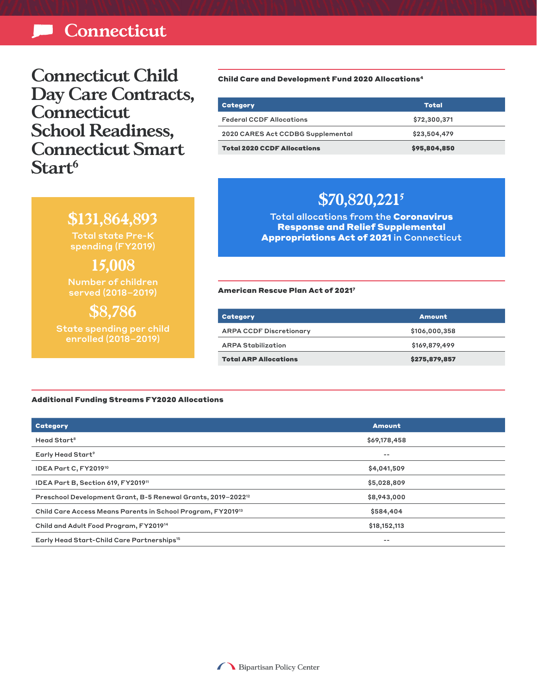**Connecticut Child Day Care Contracts, Connecticut School Readiness, Connecticut Smart Start6**

> **\$131,864,893** Total state Pre-K spending (FY2019)

**15,008** Number of children served (2018–2019)

**\$8,786** State spending per child enrolled (2018–2019)

Child Care and Development Fund 2020 Allocations4

| Category                           | Total        |
|------------------------------------|--------------|
| <b>Federal CCDF Allocations</b>    | \$72,300,371 |
| 2020 CARES Act CCDBG Supplemental  | \$23,504,479 |
| <b>Total 2020 CCDF Allocations</b> | \$95,804,850 |

### **\$70,820,2215**

Total allocations from the Coronavirus Response and Relief Supplemental Appropriations Act of 2021 in Connecticut

American Rescue Plan Act of 20217

| Category                       | <b>Amount</b> |
|--------------------------------|---------------|
| <b>ARPA CCDF Discretionary</b> | \$106,000,358 |
| <b>ARPA Stabilization</b>      | \$169,879,499 |
| <b>Total ARP Allocations</b>   | \$275,879,857 |

#### Additional Funding Streams FY2020 Allocations

| Category                                                                 | <b>Amount</b> |
|--------------------------------------------------------------------------|---------------|
| Head Start <sup>8</sup>                                                  | \$69,178,458  |
| Early Head Start <sup>9</sup>                                            | --            |
| IDEA Part C, FY201910                                                    | \$4,041,509   |
| IDEA Part B, Section 619, FY201911                                       | \$5,028,809   |
| Preschool Development Grant, B-5 Renewal Grants, 2019-2022 <sup>12</sup> | \$8,943,000   |
| Child Care Access Means Parents in School Program, FY201913              | \$584,404     |
| Child and Adult Food Program, FY2019 <sup>14</sup>                       | \$18,152,113  |
| Early Head Start-Child Care Partnerships <sup>15</sup>                   | --            |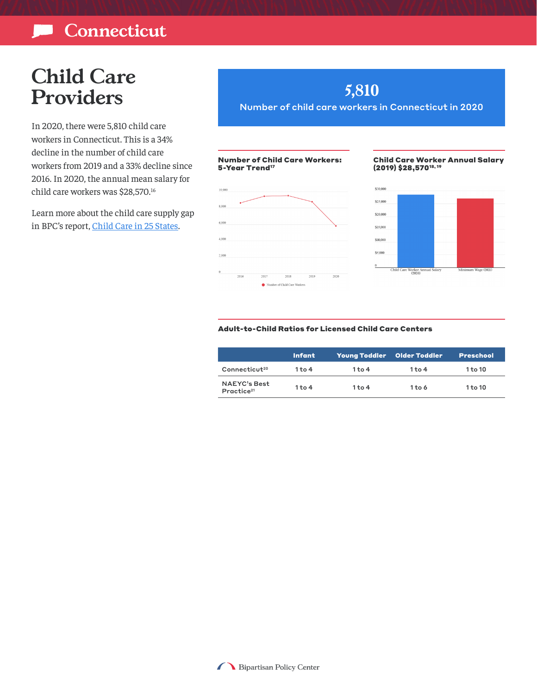# **Child Care Providers**

In 2020, there were 5,810 child care workers in Connecticut. This is a 34% decline in the number of child care workers from 2019 and a 33% decline since 2016. In 2020, the annual mean salary for child care workers was \$28,570.16

Learn more about the child care supply gap in BPC's report, [Child Care in 25 States](https://bipartisanpolicy.org/report/child-care-gap/).

### **5,810**

Number of child care workers in Connecticut in 2020

#### Number of Child Care Workers: 5-Year Trend<sup>17</sup>



#### Child Care Worker Annual Salary (2019) \$28,57018, 19



#### Adult-to-Child Ratios for Licensed Child Care Centers

|                                               | <b>Infant</b> | Young Toddler Older Toddler |          | <b>Preschool</b> |
|-----------------------------------------------|---------------|-----------------------------|----------|------------------|
| Connecticut <sup>20</sup>                     | $1$ to 4      | $1$ to 4                    | $1$ to 4 | $1$ to $10$      |
| <b>NAEYC's Best</b><br>Practice <sup>21</sup> | 1 to 4        | $1$ to 4                    | $1$ to 6 | $1$ to $10$      |